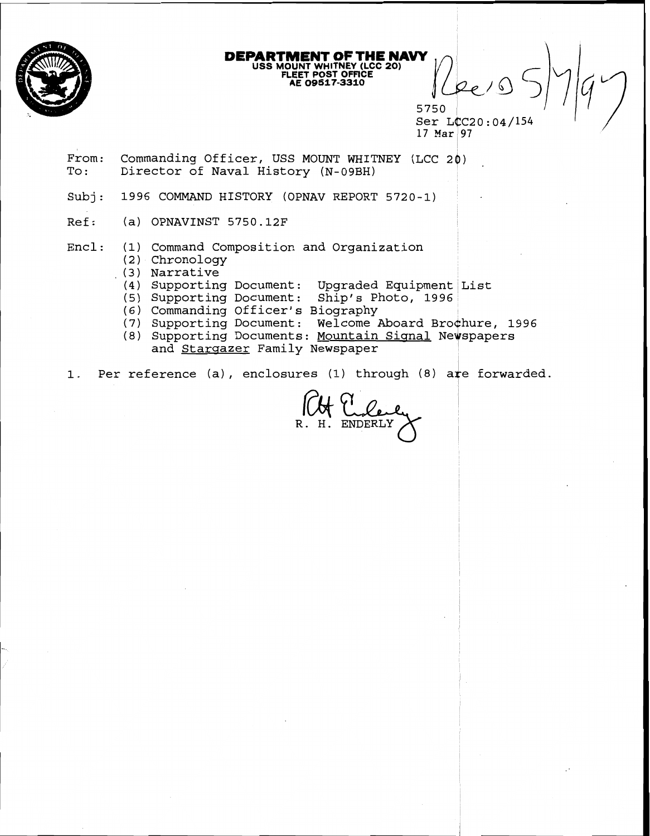

# **DEPARTMENT OF THE NAVY USS MOUNT WHITNEY (LCC 20) FLUET POST OFFICE AE 09517-3310**

5750 Ser LCC20:04/154 17 Mar  $97$ 

- From: Commanding Officer, USS MOUNT WHITNEY (LCC 20) To: Director of Naval History (N-09BH)
- Subj: 1996 COMMAND HISTORY (OPNAV REPORT 5720-1)
- Ref: (a) OPNAVINST 5750.12F

 $Encl:$ (1) Command Composition and Organization

- (2) Chronology
- , **(3)**  Narrative
	- 4) Supporting Document: Upgraded Equipment List
- 5) Supporting Document: Ship's Photo, 1996
- **(6)**  Commanding Officer's Biography <sup>I</sup>
- 7) Supporting Document: Welcome Aboard Brochure, 1996
- 8) Supporting Documents: Mountain Signal Newspapers and Stargazer Family Newspaper

**1.** Per reference (a), enclosures (1) through **(8)** ate forwarded.

**ENDERLY**  $R. H.$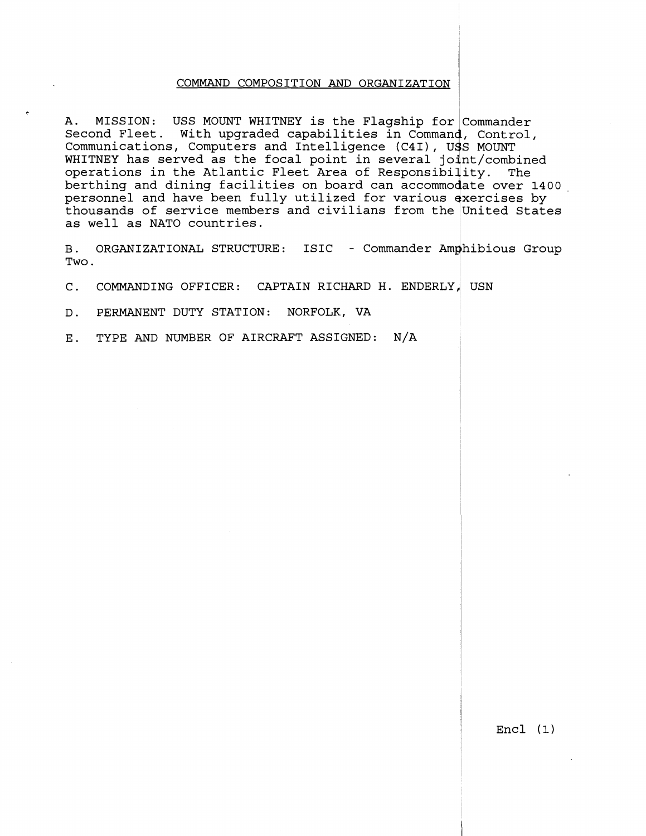## COMMAND COMPOSITION AND ORGANIZATION 1

 $\hat{\text{A}}$ . MISSION: USS MOUNT WHITNEY is the Flagship for Commander Second Fleet. With upgraded capabilities in command, Control, Communications, Computers and Intelligence (C4I), USS MOUNT WHITNEY has served as the focal point in several joint/combined operations in the Atlantic Fleet Area of Responsibility. The berthing and dining facilities on board can accommodate over 1400 personnel and have been fully utilized for various exercises by as well as NATO countries. ss Mol<br>int/collity.<br>lity.<br>date exerc:<br>Unite thousands of service members and civilians from the United States

B. ORGANIZATIONAL STRUCTURE: ISIC - Commander Amphibious Group<br>Two.  $Two.$ 

C. COMMANDING OFFICER: CAPTAIN RICHARD H. ENDERLY, USN

D. PERMANENT DUTY STATION: NORFOLK, VA

E. TYPE AND NUMBER OF AIRCRAFT ASSIGNED: N/A

Encl **(1)**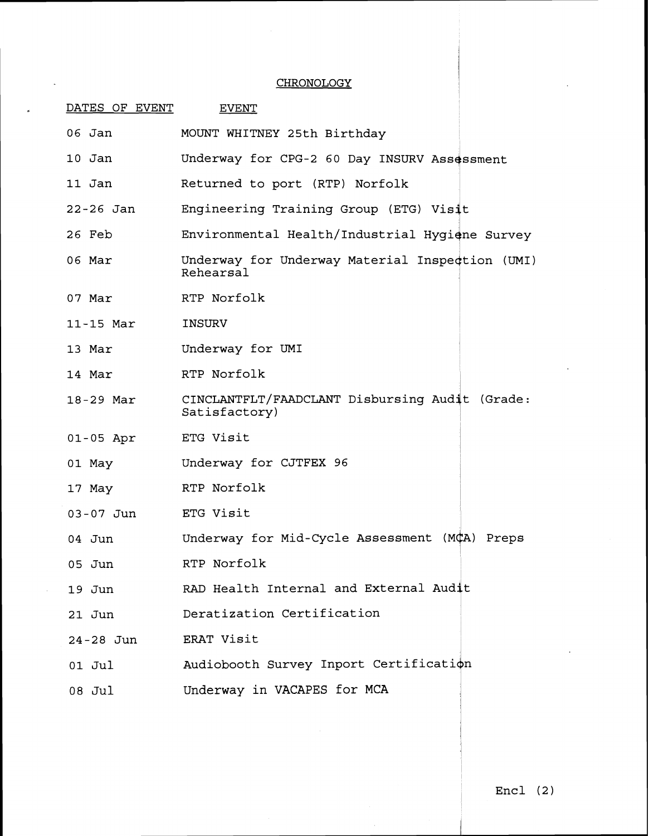## **CHRONOLOGY**

| DATES OF EVENT | <b>EVENT</b>                                                    |
|----------------|-----------------------------------------------------------------|
| $06$ Jan       | MOUNT WHITNEY 25th Birthday                                     |
| $10$ Jan       | Underway for CPG-2 60 Day INSURV Assessment                     |
| 11 Jan         | Returned to port (RTP) Norfolk                                  |
| 22-26 Jan      | Engineering Training Group (ETG) Visit                          |
| 26 Feb         | Environmental Health/Industrial Hygiene Survey                  |
| 06 Mar         | Underway for Underway Material Inspection (UMI)<br>Rehearsal    |
| 07 Mar         | RTP Norfolk                                                     |
| 11-15 Mar      | INSURV                                                          |
| 13 Mar         | Underway for UMI                                                |
| 14 Mar         | RTP Norfolk                                                     |
| 18-29 Mar      | CINCLANTFLT/FAADCLANT Disbursing Audit (Grade:<br>Satisfactory) |
| $01 - 05$ Apr  | ETG Visit                                                       |
| 01 May         | Underway for CJTFEX 96                                          |
| 17 May         | RTP Norfolk                                                     |
| $03 - 07$ Jun  | ETG Visit                                                       |
| $04$ Jun       | Underway for Mid-Cycle Assessment (MCA) Preps                   |
| $05$ Jun       | RTP Norfolk                                                     |
| 19 Jun         | RAD Health Internal and External Audit                          |
| $21$ Jun       | Deratization Certification                                      |
| 24-28 Jun      | ERAT Visit                                                      |
| 01 Jul         | Audiobooth Survey Inport Certification                          |
| 08 Jul         | Underway in VACAPES for MCA                                     |

 $\bar{z}$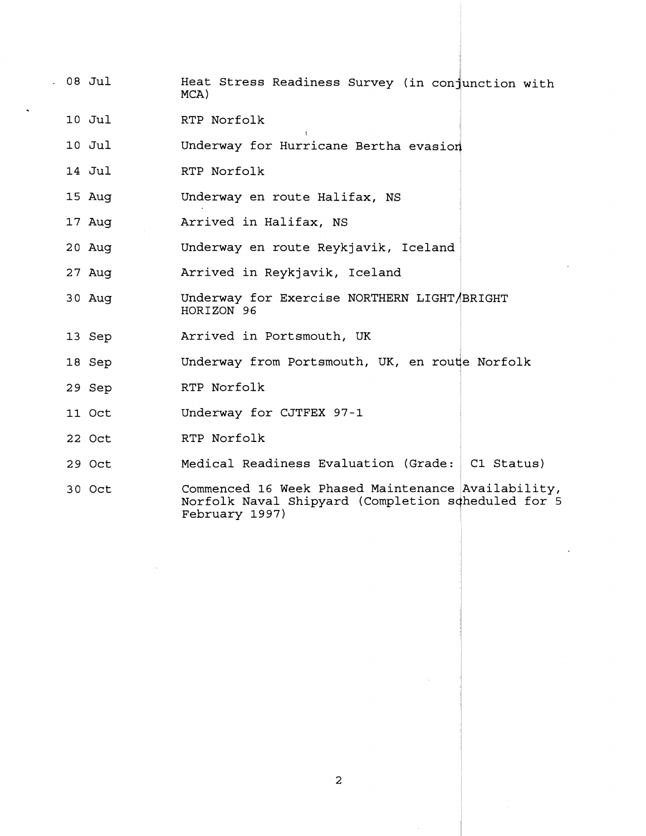- **08** Jul Heat Stress Readiness Survey (in conjunction with  $MCA)$ 
	- **10** Jul RTP Norfolk
	- **10** Jul I Underway for Hurricane Bertha evasion
	- **14** Jul RTP Norfolk <sup>I</sup>
	- **15** Aug Underway en route Halifax, NS
	- **17** Aug Arrived in Halifax, NS
	- **20** Aug Underway en route Reykjavik, Iceland
	- **27** Aug Arrived in Reykjavik, Iceland
	- **30** Aug Underway for Exercise NORTHERN LIGHT/BRIGHT HORIZON **96**
	- **13** Sep Arrived in Portsmouth, UK
	- **18** Sep Underway from Portsmouth, UK, en route Norfolk
	- **29** Sep RTP Norfolk
	- **11** Oct Underway for CJTFEX **97-1**
	- **22** Oct RTP Norfolk <sup>~</sup>
	- **29** Oct Medical Readiness Evaluation (Grade: **C1** Status)
	- **30** Oct Commenced **16** Week Phased Maintenance Availability, Norfolk Naval Shipyard (Completion scheduled for 5 February **19 9 7** )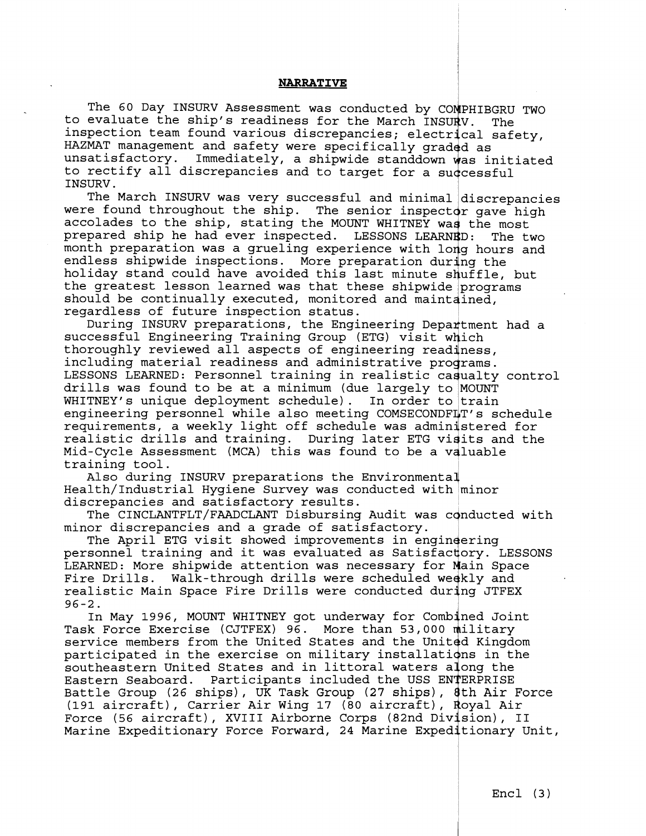## **NARRATIVE**

The 60 Day INSURV Assessment was conducted by COMPHIBGRU TWO to evaluate the ship's readiness for the March INSURV. The inspection team found various discrepancies; electrical safety, HAZMAT management and safety were specifically graded as unsatisfactory. Immediately, a shipwide standdown was initiated to rectify all discrepancies and to target for a suqcessful

INSURV . The March INSURV was very successful and minimal discrepancies were found throughout the ship. The senior inspector gave high accolades to the ship, stating the MOUNT WHITNEY was the most prepared ship he had ever inspected. LESSONS LEARNED: The two month preparation was a grueling experience with long hours and endless shipwide inspections. More preparation during the holiday stand could have avoided this last minute shuffle, but the greatest lesson learned was that these shipwide programs should be continually executed, monitored and maintained, regardless of future inspection status.

During INSURV preparations, the Engineering Department had a successful Engineering Training Group (ETG) visit which thoroughly reviewed all aspects of engineering readiness, including material readiness and administrative programs. LESSONS LEARNED: Personnel training in realistic cagualty control drills was found to be at a minimum (due largely to MOUNT WHITNEY's unique deployment schedule). In order to train engineering personnel while also meeting COMSECONDFLT's schedule requirements, a weekly light off schedule was administered for realistic drills and training. During later ETG vidits and the Mid-Cycle Assessment (MCA) this was found to be a valuable training tool.

Also during INSURV preparations the Environmental Health/Industrial Hygiene Survey was conducted with minor discrepancies and satisfactory results.

The CINCLANTFLT/FAADCLANT Disbursing Audit was conducted with minor discrepancies and a grade of satisfactory.

The April ETG visit showed improvements in engineering personnel training and it was evaluated as Satisfactory. LESSONS LEARNED: More shipwide attention was necessary for Main Space Fire Drills. Walk-through drills were scheduled weekly and realistic Main Space Fire Drills were conducted during JTFEX 96-2.

In May 1996, MOUNT WHITNEY got underway for Combined Joint Task Force Exercise (CJTFEX) 96. More than 53,000 diilitary service members from the United States and the United Kingdom participated in the exercise on military installations in the southeastern United States and in littoral waters along the Eastern Seaboard. Participants included the USS ENTERPRISE Battle Group (26 ships), UK Task Group (27 ships), 8th Air Force (191 aircraft), Carrier Air Wing 17 (80 aircraft), Royal Air Force (56 aircraft), XVIII Airborne Corps (82nd Division), II Marine Expeditionary Force Forward, 24 Marine Expeditionary Unit,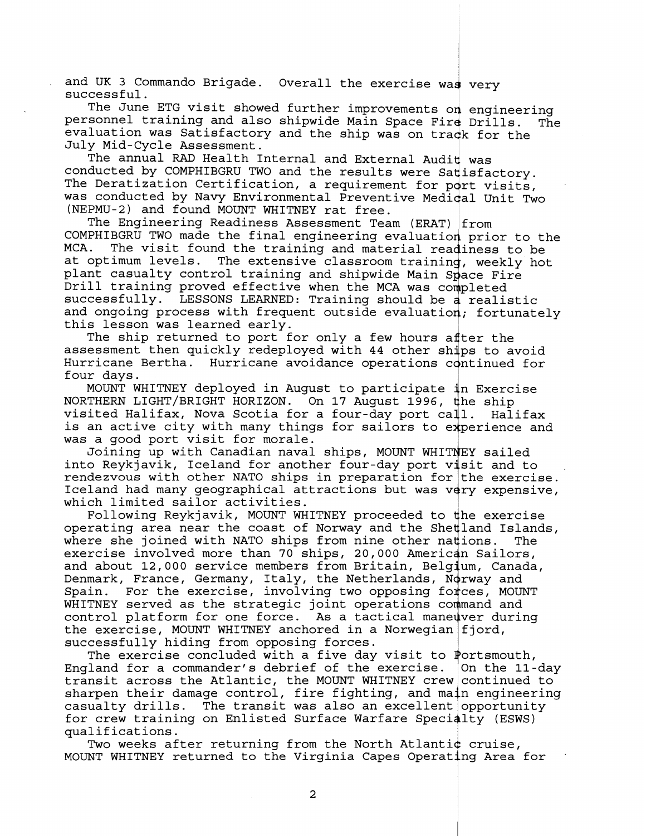and UK 3 Commando Brigade. Overall the exercise was very successful.

The June ETG visit showed further improvements on engineering personnel training and also shipwide Main Space Fir4 Drills. The evaluation was Satisfactory and the ship was on track for the July Mid-Cycle Assessment.

The annual **RAD** Health Internal and External Audit was conducted by COMPHIBGRU TWO and the results were Satisfactory. The Deratization Certification, a requirement for port visits, was conducted by Navy Environmental Preventive Medical Unit Two (NEPMU-2) and found MOUNT WHITNEY rat free.

The Engineering Readiness Assessment Team (ERAT) from COMPHIBGRU TWO made the final engineering evaluation prior to the<br>MCA. The visit found the training and material readiness to be The visit found the training and material readiness to be MCA. The visit found the training and material readiness to be<br>at optimum levels. The extensive classroom training, weekly hot<br>plant casualty control training and shipwide Main Space Fire<br>Drill training proved effective wh plant casualty control training and shipwide Main Space Fire Drill training proved effective when the MCA was completed successfully. LESSONS LEARNED: Training should be a realistic this lesson was learned early. and ongoing process with frequent outside evaluation; fortunately

The ship returned to port for only a few hours after the assessment then quickly redeployed with 44 other ships to avoid assessment then quickly redeployed with 44 other ships to avoid<br>Hurricane Bertha. Hurricane avoidance operations continued for<br>four days four days.

MOUNT WHITNEY deployed in August to participate 'n Exercise NORTHERN LIGHT/BRIGHT HORIZON. On 17 August 1996, the ship visited Halifax, Nova Scotia for a four-day port call. Halifax visited Halifax, Nova Scotia for a four-day port call. is an active city with many things for sailors to experience and was a good port visit for morale. in Exe<br>the sh<br>11. I<br>xperie<br>xpy

Joining up with Canadian naval ships, MOUNT WHITNEY sailed into Reykjavik, Iceland for another four-day port visit and to rendezvous with other NATO ships in preparation for the exercise. Iceland had many geographical attractions but was very expensive, which limited sailor activities.

Following Reykjavik, MOUNT WHITNEY proceeded to dhe exercise operating area near the coast of Norway and the Shetland Islands, where she joined with NATO ships from nine other nations. The exercise involved more than 70 ships, 20,000 American Sailors, and about 12,000 service members from Britain, Belgium, Canada, Denmark, France, Germany, Italy, the Netherlands, Norway and<br>Spain. For the exercise, involving two opposing forces, MOU For the exercise, involving two opposing forces, MOUNT WHITNEY served as the strategic joint operations command and control platform for one force. As a tactical maneuver during the exercise, MOUNT WHITNEY anchored in a Norwegian fjord, successfully hiding from opposing forces.

The exercise concluded with a five day visit to Portsmouth, England for a commander's debrief of the exercise. On the 11-day England for a commander's debited of the exercise. On the fi-day<br>cransit across the Atlantic, the MOUNT WHITNEY crew continued to<br>sharpen their damage control, fire fighting, and main engineering<br>casualty drills. The trans sharpen their damage control, fire fighting, and main engineering<br>casualty drills. The transit was also an excellent opportunity The transit was also an excellent opportunity for crew training on Enlisted Surface Warfare Specialty (ESWS) qualifications.

Two weeks after returning from the North Atlanti¢ cruise, MOUNT WHITNEY returned to the Virginia Capes Operating Area for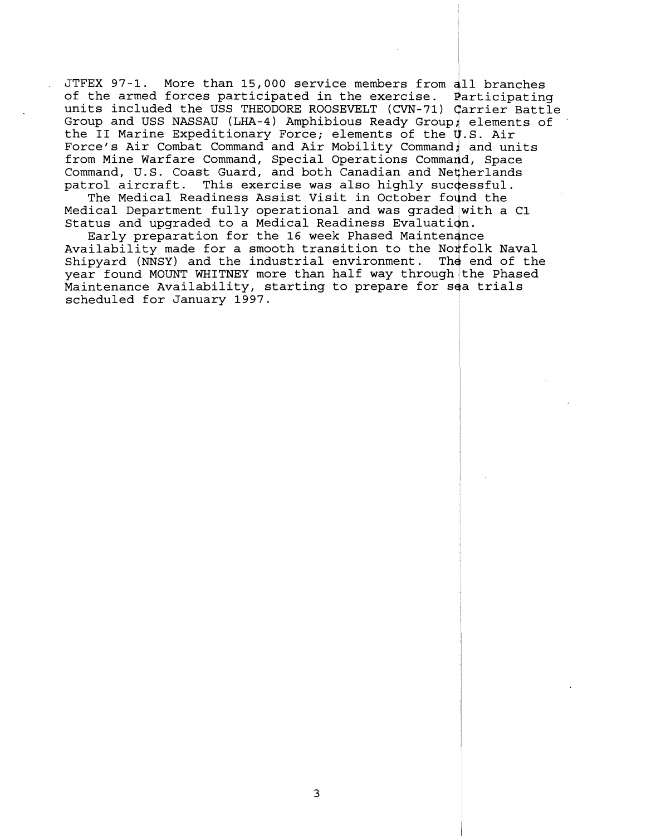JTFEX 97-1. More than 15,000 service members from 411 branches of the armed forces participated in the exercise. Participating units included the USS THEODORE ROOSEVELT (CVN-71) Carrier Battle Group and USS NASSAU (LHA-4) Amphibious Ready Group; elements of the II Marine Expeditionary Force; elements of the U.S. Air Force's Air Combat Command and Air Mobility Command, and units from Mine Warfare Command, Special Operations Command, Space Command, U.S. Coast Guard, and both Canadian and Netherlands<br>patrol aircraft. This exercise was also highly successful. This exercise was also highly successful.

The Medical Readiness Assist Visit in October found the Medical Department fully operational and was graded with a C1 Status and upgraded to a Medical Readiness Evaluation.

Early preparation for the 16 week Phased Maintendnce Availability made for a smooth transition to the Norfolk Naval Shipyard (NNSY) and the industrial environment. The end of the year found MOUNT WHITNEY more than half way through the Phased Maintenance Availability, starting to prepare for sea trials scheduled for January 1997.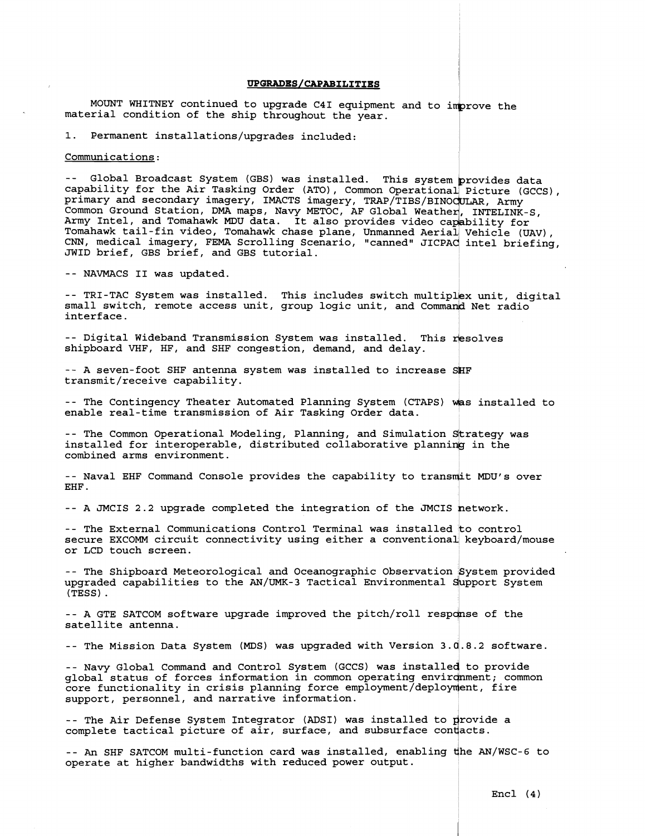#### UPGRADES/CAPABILITIES

MOUNT WHITNEY continued to upgrade C4I equipment and to improve the material condition of the ship throughout the year.

1. Permanent installations/upgrades included:

## Communications:

-- Global Broadcast System (GBS) was installed. This system provides data capability for the Air Tasking Order (ATO), Common Operational Picture (GCCS),<br>primary and secondary imagery, IMACTS imagery, TRAP/TIBS/BINOCULAR, Army<br>Common Ground Station, DMA maps, Navy METOC, AF Global Weather, INTELI Common Ground Station, DMA maps, Navy METOC, AF Global Weather, INTELINK-S,<br>Army Intel, and Tomahawk MDU data. It also provides video capability for Tomahawk tail-fin video, Tomahawk chase plane, Unmanned Aerial Vehicle (UAV),<br>CNN, medical imagery, FEMA Scrolling Scenario, "canned" JICPAC intel briefing, JWID brief, GBS brief, and GBS tutorial.

-- NAVMACS I1 was updated.

-- TRI-TAC System was installed. This includes switch multiplex unit, digital small switch, remote access unit, group logic unit, and Command Net radio interface.

-- Digital Wideband Transmission System was installed. This resolves shipboard VHF, HF, and SHF congestion, demand, and delay.

-- A seven-foot SHF antenna system was installed to increase SHF transmit/receive capability.

-- The Contingency Theater Automated Planning System (CTAPS) was installed to enable real-time transmission of Air Tasking Order data.

-- The Common Operational Modeling, Planning, and Simulation Strategy was installed for interoperable, distributed collaborative planning in the combined arms environment.

-- Naval EHF Command Console provides the capability to transmit MDU's over EHF .

-- A JMCIS 2.2 upgrade completed the integration of the JMCIS network.<br>-- The External Communications Control Terminal was installed to control secure EXCOMM circuit connectivity using either a conventional keyboard/mouse<br>secure EXCOMM circuit connectivity using either a conventional keyboard/mouse or LCD touch screen.

-- The Shipboard Meteorological and Oceanographic Observation System provided upgraded capabilities to the AN/UMK-3 Tactical Environmental dupport System (TESS) .

-- A GTE SATCOM software upgrade improved the pitch/roll response of the satellite antenna.

-- The Mission Data System (MDS) was upgraded with Version **3.U.8.2** software.

-- Navy Global Command and Control System (GCCS) was installed to provide global status of forces information in common operating environment; common core functionality in crisis planning force employment/deployment, fire support, personnel, and narrative information.

-- The Air Defense System Integrator (ADSI) was installed to provide a complete tactical picture of air, surface, and subsurface contacts.

-- **An** SHF SATCOM multi-function card was installed, enabling dhe AN/WSC-6 to operate at higher bandwidths with reduced power output.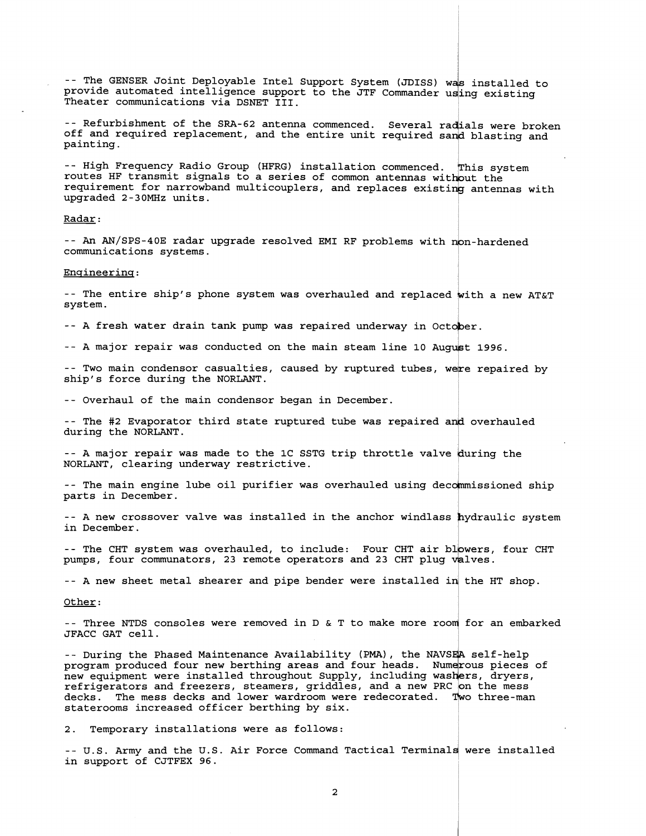-- The GENSER Joint Deployable Intel Support System (JDISS) was installed to provide automated intelligence support to the JTF Commander using existing Theater communications via DSNET 111.

-- Refurbishment of the SRA-62 antenna commenced. Several radials were broken off and required replacement, and the entire unit required sand blasting and painting.

-- High Frequency Radio Group (HFRG) installation commenced. This system routes HF transmit signals to a series of common antennas witbut the requirement for narrowband multicouplers, and replaces existing antennas with upgraded 2-30MHz units.

### Radar :

-- An AN/SPS-40E radar upgrade resolved EMI RF problems with non-hardened communications systems.

#### Engineering:

-- The entire ship's phone system was overhauled and replaced with a new AT&T system.

-- A fresh water drain tank pump was repaired underway in October.

-- A major repair was conducted on the main steam line 10 August 1996.

-- Two main condensor casualties, caused by ruptured tubes, were repaired by ship's force during the NORLANT.

-- Overhaul of the main condensor began in December.

-- The #2 Evaporator third state ruptured tube was repaired and overhauled during the NORLANT.

-- A major repair was made to the 1C SSTG trip throttle valve during the NORLANT, clearing underway restrictive.

-- The main engine lube oil purifier was overhauled using decommissioned ship parts in December.

-- A new crossover valve was installed in the anchor windlass hydraulic system in December.

-- The CHT system was overhauled, to include: Four CHT air blowers, four CHT pumps, four communators, 23 remote operators and 23 CHT plug Valves.

-- A new sheet metal shearer and pipe bender were installed in the HT shop.

### Other:

-- Three NTDS consoles were removed in D & T to make more room for an embarked JFACC GAT cell.

-- During the Phased Maintenance Availability (PMA), the NAVSEA self-help program produced four new berthing areas and four heads. Numerous pieces of new equipment were installed throughout Supply, including washers, dryers, refrigerators and freezers, steamers, griddles, and a new PRC on the mess decks. The mess decks and lower wardroom were redecorated. Two three-man staterooms increased officer berthing by six.

2. Temporary installations were as follows:

-- U.S. Army and the U.S. Air Force Command Tactical Terminals were installed in support of CJTFEX 96.